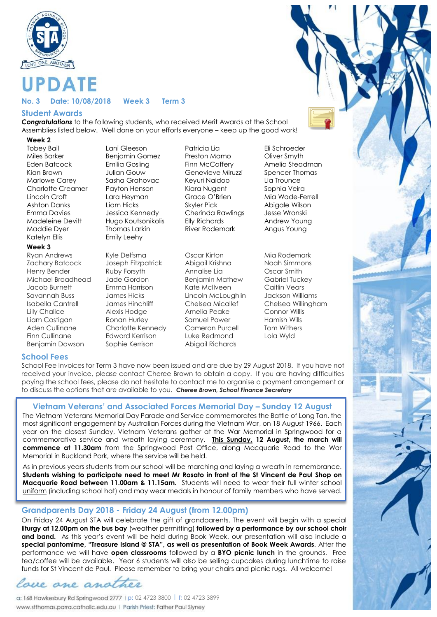

# **PDATE**

#### **No. 3 Date: 10/08/2018 Week 3 Term 3**

#### **Student Awards**

*Congratulations* to the following students, who received Merit Awards at the School Assemblies listed below. Well done on your efforts everyone – keep up the good work!

#### **Week 2**

Katelyn Ellis **Emily Leehy** 

#### **Week 3**

Zachary Batcock Joseph Fitzpatrick Abigail Krishna Noah Simmons Henry Bender Ruby Forsyth Annalise Lia Oscar Smith Michael Broadhead Jade Gordon Benjamin Mathew Gabriel Tuckey Jacob Burnett Emma Harrison Kate McIlveen Caitlin Vears Savannah Buss James Hicks Lincoln McLoughlin Jackson Williams Isabella Cantrell James Hinchliff Chelsea Micallef Chelsea Willingham Lilly Chalice Alexis Hodge Amelia Peake Connor Willis Liam Costigan Ronan Hurley Samuel Power Hamish Wills Aden Cullinane Charlotte Kennedy Cameron Purcell Tom Withers Finn Cullinane Edward Kerrison Luke Redmond Lola Wyld Benjamin Dawson Sophie Kerrison Abigail Richards

Ryan Andrews Kyle Delfsma Oscar Kirton Mia Rodemark

Miles Barker Benjamin Gomez Preston Mamo Oliver Smyth Eden Batcock Emilia Gosling Finn McCaffery Amelia Steadman Kian Brown Julian Gouw Genevieve Miruzzi Spencer Thomas Marlowe Carey Sasha Grahovac Keyuri Naidoo Lia Trounce Charlotte Creamer Payton Henson Kiara Nugent Sophia Veira Lincoln Croft Lara Heyman Grace O'Brien Mia Wade-Ferrell Ashton Danks Liam Hicks Skyler Pick Abigale Wilson Emma Davies Jessica Kennedy Cherinda Rawlings Jesse Wronski Madeleine Devitt Hugo Koutsonikolis Elly Richards Andrew Young Maddie Dyer Thomas Larkin River Rodemark Angus Young

Tobey Bail Lani Gleeson Patricia Lia Eli Schroeder

#### **School Fees**

School Fee Invoices for Term 3 have now been issued and are due by 29 August 2018. If you have not received your invoice, please contact Cheree Brown to obtain a copy. If you are having difficulties paying the school fees, please do not hesitate to contact me to organise a payment arrangement or to discuss the options that are available to you. *Cheree Brown, School Finance Secretary*

## **Vietnam Veterans' and Associated Forces Memorial Day – Sunday 12 August**

The Vietnam Veterans Memorial Day Parade and Service commemorates the Battle of Long Tan, the most significant engagement by Australian Forces during the Vietnam War, on 18 August 1966. Each year on the closest Sunday, Vietnam Veterans gather at the War Memorial in Springwood for a commemorative service and wreath laying ceremony. **This Sunday, 12 August, the march will commence at 11.30am** from the Springwood Post Office, along Macquarie Road to the War Memorial in Buckland Park, where the service will be held.

As in previous years students from our school will be marching and laying a wreath in remembrance. **Students wishing to participate need to meet Mr Rosato in front of the St Vincent de Paul Shop on Macquarie Road between 11.00am & 11.15am.** Students will need to wear their full winter school uniform (including school hat) and may wear medals in honour of family members who have served.

## **Grandparents Day 2018 - Friday 24 August (from 12.00pm)**

On Friday 24 August STA will celebrate the gift of grandparents. The event will begin with a special **liturgy at 12.00pm on the bus bay** (weather permitting) **followed by a performance by our school choir and band.** As this year's event will be held during Book Week, our presentation will also include a **special pantomime, "Treasure Island @ STA", as well as presentation of Book Week Awards**. After the performance we will have **open classrooms** followed by a **BYO picnic lunch** in the grounds. Free tea/coffee will be available. Year 6 students will also be selling cupcakes during lunchtime to raise funds for St Vincent de Paul. Please remember to bring your chairs and picnic rugs. All welcome!

love one another

**p:** 02 4723 3800 l **f;** 02 4723 3899 www.stthomas.parra.catholic.edu.au | Parish Priest: Father Paul Slyney